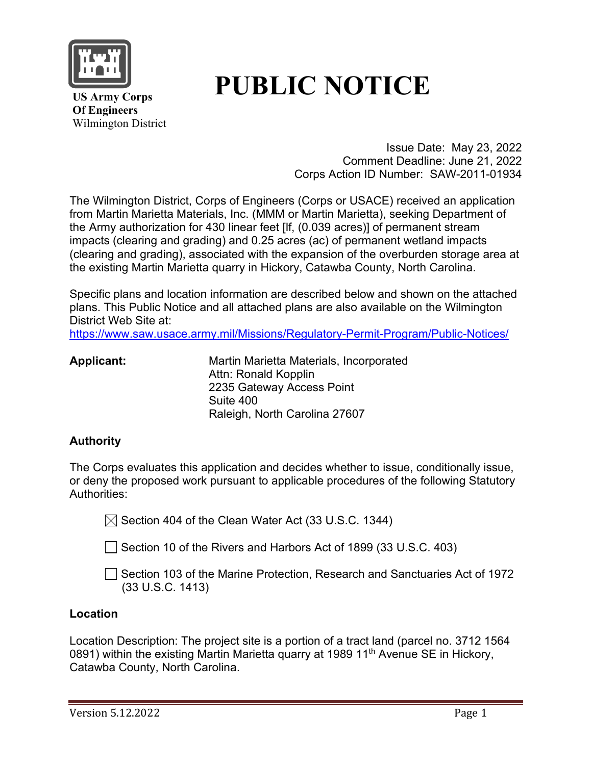

# **PUBLIC NOTICE**

 **US Army Corps Of Engineers** Wilmington District

> Issue Date: May 23, 2022 Comment Deadline: June 21, 2022 Corps Action ID Number: SAW-2011-01934

The Wilmington District, Corps of Engineers (Corps or USACE) received an application from Martin Marietta Materials, Inc. (MMM or Martin Marietta), seeking Department of the Army authorization for 430 linear feet [lf, (0.039 acres)] of permanent stream impacts (clearing and grading) and 0.25 acres (ac) of permanent wetland impacts (clearing and grading), associated with the expansion of the overburden storage area at the existing Martin Marietta quarry in Hickory, Catawba County, North Carolina.

Specific plans and location information are described below and shown on the attached plans. This Public Notice and all attached plans are also available on the Wilmington District Web Site at:

<https://www.saw.usace.army.mil/Missions/Regulatory-Permit-Program/Public-Notices/>

| <b>Applicant:</b> | Martin Marietta Materials, Incorporated |  |
|-------------------|-----------------------------------------|--|
|                   | Attn: Ronald Kopplin                    |  |
|                   | 2235 Gateway Access Point               |  |
|                   | Suite 400                               |  |
|                   | Raleigh, North Carolina 27607           |  |

## **Authority**

The Corps evaluates this application and decides whether to issue, conditionally issue, or deny the proposed work pursuant to applicable procedures of the following Statutory Authorities:

 $\boxtimes$  Section 404 of the Clean Water Act (33 U.S.C. 1344)

 $\Box$  Section 10 of the Rivers and Harbors Act of 1899 (33 U.S.C. 403)

Section 103 of the Marine Protection, Research and Sanctuaries Act of 1972 (33 U.S.C. 1413)

#### **Location**

Location Description: The project site is a portion of a tract land (parcel no. 3712 1564 0891) within the existing Martin Marietta guarry at 1989 11<sup>th</sup> Avenue SE in Hickory, Catawba County, North Carolina.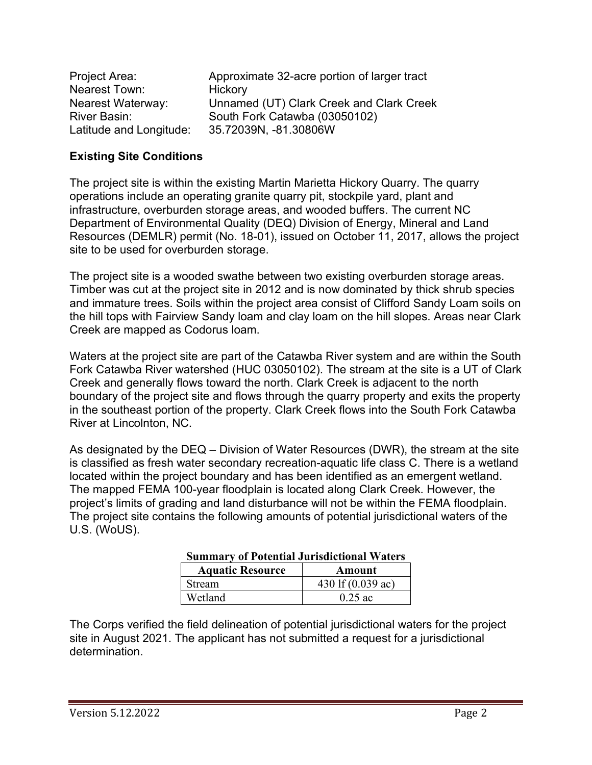Project Area: Approximate 32-acre portion of larger tract Nearest Town: Hickory Nearest Waterway: Unnamed (UT) Clark Creek and Clark Creek River Basin: South Fork Catawba (03050102) Latitude and Longitude: 35.72039N, -81.30806W

#### **Existing Site Conditions**

The project site is within the existing Martin Marietta Hickory Quarry. The quarry operations include an operating granite quarry pit, stockpile yard, plant and infrastructure, overburden storage areas, and wooded buffers. The current NC Department of Environmental Quality (DEQ) Division of Energy, Mineral and Land Resources (DEMLR) permit (No. 18-01), issued on October 11, 2017, allows the project site to be used for overburden storage.

The project site is a wooded swathe between two existing overburden storage areas. Timber was cut at the project site in 2012 and is now dominated by thick shrub species and immature trees. Soils within the project area consist of Clifford Sandy Loam soils on the hill tops with Fairview Sandy loam and clay loam on the hill slopes. Areas near Clark Creek are mapped as Codorus loam.

Waters at the project site are part of the Catawba River system and are within the South Fork Catawba River watershed (HUC 03050102). The stream at the site is a UT of Clark Creek and generally flows toward the north. Clark Creek is adjacent to the north boundary of the project site and flows through the quarry property and exits the property in the southeast portion of the property. Clark Creek flows into the South Fork Catawba River at Lincolnton, NC.

As designated by the DEQ – Division of Water Resources (DWR), the stream at the site is classified as fresh water secondary recreation-aquatic life class C. There is a wetland located within the project boundary and has been identified as an emergent wetland. The mapped FEMA 100-year floodplain is located along Clark Creek. However, the project's limits of grading and land disturbance will not be within the FEMA floodplain. The project site contains the following amounts of potential jurisdictional waters of the U.S. (WoUS).

| Summary of Potential Jurisdictional Waters |                   |  |  |  |
|--------------------------------------------|-------------------|--|--|--|
| <b>Aquatic Resource</b>                    | Amount            |  |  |  |
| <b>Stream</b>                              | 430 lf (0.039 ac) |  |  |  |
| Wetland                                    | $0.25$ ac         |  |  |  |

#### **Summary of Potential Jurisdictional Waters**

The Corps verified the field delineation of potential jurisdictional waters for the project site in August 2021. The applicant has not submitted a request for a jurisdictional determination.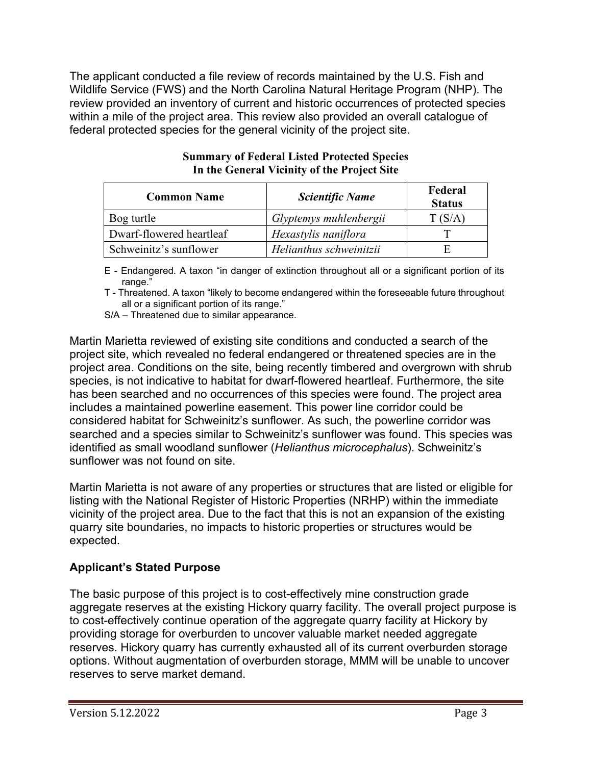The applicant conducted a file review of records maintained by the U.S. Fish and Wildlife Service (FWS) and the North Carolina Natural Heritage Program (NHP). The review provided an inventory of current and historic occurrences of protected species within a mile of the project area. This review also provided an overall catalogue of federal protected species for the general vicinity of the project site.

| <b>Common Name</b>       | <b>Scientific Name</b>  | Federal<br><b>Status</b> |
|--------------------------|-------------------------|--------------------------|
| Bog turtle               | Glyptemys muhlenbergii  | T(S/A)                   |
| Dwarf-flowered heartleaf | Hexastylis naniflora    |                          |
| Schweinitz's sunflower   | Helianthus schweinitzii |                          |

#### **Summary of Federal Listed Protected Species In the General Vicinity of the Project Site**

E - Endangered. A taxon "in danger of extinction throughout all or a significant portion of its range."

T - Threatened. A taxon "likely to become endangered within the foreseeable future throughout all or a significant portion of its range."

S/A – Threatened due to similar appearance.

Martin Marietta reviewed of existing site conditions and conducted a search of the project site, which revealed no federal endangered or threatened species are in the project area. Conditions on the site, being recently timbered and overgrown with shrub species, is not indicative to habitat for dwarf-flowered heartleaf. Furthermore, the site has been searched and no occurrences of this species were found. The project area includes a maintained powerline easement. This power line corridor could be considered habitat for Schweinitz's sunflower. As such, the powerline corridor was searched and a species similar to Schweinitz's sunflower was found. This species was identified as small woodland sunflower (*Helianthus microcephalus*). Schweinitz's sunflower was not found on site.

Martin Marietta is not aware of any properties or structures that are listed or eligible for listing with the National Register of Historic Properties (NRHP) within the immediate vicinity of the project area. Due to the fact that this is not an expansion of the existing quarry site boundaries, no impacts to historic properties or structures would be expected.

## **Applicant's Stated Purpose**

The basic purpose of this project is to cost-effectively mine construction grade aggregate reserves at the existing Hickory quarry facility. The overall project purpose is to cost-effectively continue operation of the aggregate quarry facility at Hickory by providing storage for overburden to uncover valuable market needed aggregate reserves. Hickory quarry has currently exhausted all of its current overburden storage options. Without augmentation of overburden storage, MMM will be unable to uncover reserves to serve market demand.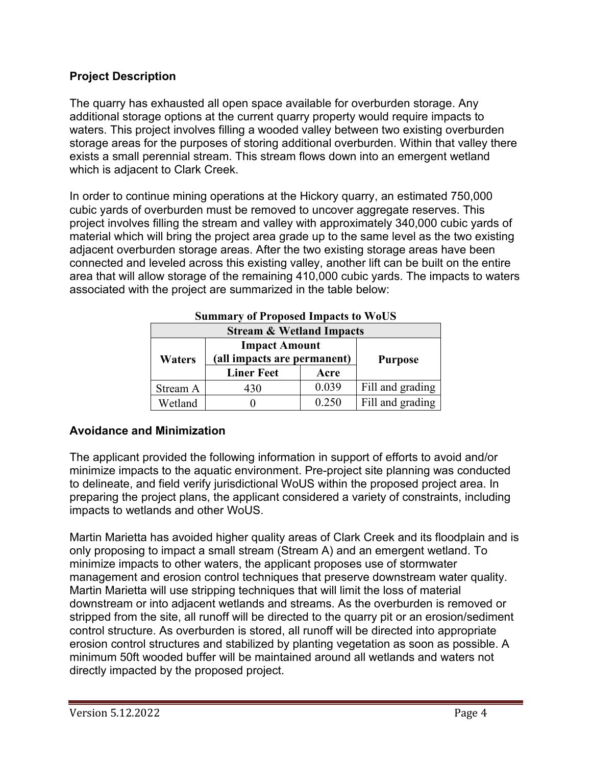## **Project Description**

The quarry has exhausted all open space available for overburden storage. Any additional storage options at the current quarry property would require impacts to waters. This project involves filling a wooded valley between two existing overburden storage areas for the purposes of storing additional overburden. Within that valley there exists a small perennial stream. This stream flows down into an emergent wetland which is adjacent to Clark Creek.

In order to continue mining operations at the Hickory quarry, an estimated 750,000 cubic yards of overburden must be removed to uncover aggregate reserves. This project involves filling the stream and valley with approximately 340,000 cubic yards of material which will bring the project area grade up to the same level as the two existing adjacent overburden storage areas. After the two existing storage areas have been connected and leveled across this existing valley, another lift can be built on the entire area that will allow storage of the remaining 410,000 cubic yards. The impacts to waters associated with the project are summarized in the table below:

| <b>Stream &amp; Wetland Impacts</b> |                                                     |       |                  |  |  |
|-------------------------------------|-----------------------------------------------------|-------|------------------|--|--|
| Waters                              | <b>Impact Amount</b><br>(all impacts are permanent) |       | <b>Purpose</b>   |  |  |
|                                     | <b>Liner Feet</b>                                   | Acre  |                  |  |  |
| Stream A                            | 430                                                 | 0.039 | Fill and grading |  |  |
| Wetland                             |                                                     | 0.250 | Fill and grading |  |  |

**Summary of Proposed Impacts to WoUS** 

## **Avoidance and Minimization**

The applicant provided the following information in support of efforts to avoid and/or minimize impacts to the aquatic environment. Pre-project site planning was conducted to delineate, and field verify jurisdictional WoUS within the proposed project area. In preparing the project plans, the applicant considered a variety of constraints, including impacts to wetlands and other WoUS.

Martin Marietta has avoided higher quality areas of Clark Creek and its floodplain and is only proposing to impact a small stream (Stream A) and an emergent wetland. To minimize impacts to other waters, the applicant proposes use of stormwater management and erosion control techniques that preserve downstream water quality. Martin Marietta will use stripping techniques that will limit the loss of material downstream or into adjacent wetlands and streams. As the overburden is removed or stripped from the site, all runoff will be directed to the quarry pit or an erosion/sediment control structure. As overburden is stored, all runoff will be directed into appropriate erosion control structures and stabilized by planting vegetation as soon as possible. A minimum 50ft wooded buffer will be maintained around all wetlands and waters not directly impacted by the proposed project.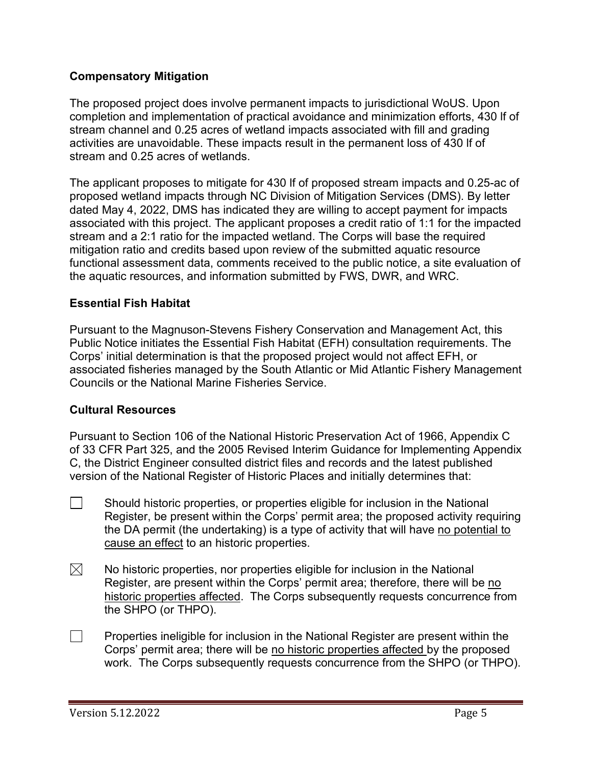#### **Compensatory Mitigation**

The proposed project does involve permanent impacts to jurisdictional WoUS. Upon completion and implementation of practical avoidance and minimization efforts, 430 lf of stream channel and 0.25 acres of wetland impacts associated with fill and grading activities are unavoidable. These impacts result in the permanent loss of 430 lf of stream and 0.25 acres of wetlands.

The applicant proposes to mitigate for 430 lf of proposed stream impacts and 0.25-ac of proposed wetland impacts through NC Division of Mitigation Services (DMS). By letter dated May 4, 2022, DMS has indicated they are willing to accept payment for impacts associated with this project. The applicant proposes a credit ratio of 1:1 for the impacted stream and a 2:1 ratio for the impacted wetland. The Corps will base the required mitigation ratio and credits based upon review of the submitted aquatic resource functional assessment data, comments received to the public notice, a site evaluation of the aquatic resources, and information submitted by FWS, DWR, and WRC.

#### **Essential Fish Habitat**

Pursuant to the Magnuson-Stevens Fishery Conservation and Management Act, this Public Notice initiates the Essential Fish Habitat (EFH) consultation requirements. The Corps' initial determination is that the proposed project would not affect EFH, or associated fisheries managed by the South Atlantic or Mid Atlantic Fishery Management Councils or the National Marine Fisheries Service.

#### **Cultural Resources**

Pursuant to Section 106 of the National Historic Preservation Act of 1966, Appendix C of 33 CFR Part 325, and the 2005 Revised Interim Guidance for Implementing Appendix C, the District Engineer consulted district files and records and the latest published version of the National Register of Historic Places and initially determines that:

- Should historic properties, or properties eligible for inclusion in the National Register, be present within the Corps' permit area; the proposed activity requiring the DA permit (the undertaking) is a type of activity that will have no potential to cause an effect to an historic properties.
- $\boxtimes$ No historic properties, nor properties eligible for inclusion in the National Register, are present within the Corps' permit area; therefore, there will be no historic properties affected. The Corps subsequently requests concurrence from the SHPO (or THPO).
- $\Box$ Properties ineligible for inclusion in the National Register are present within the Corps' permit area; there will be no historic properties affected by the proposed work. The Corps subsequently requests concurrence from the SHPO (or THPO).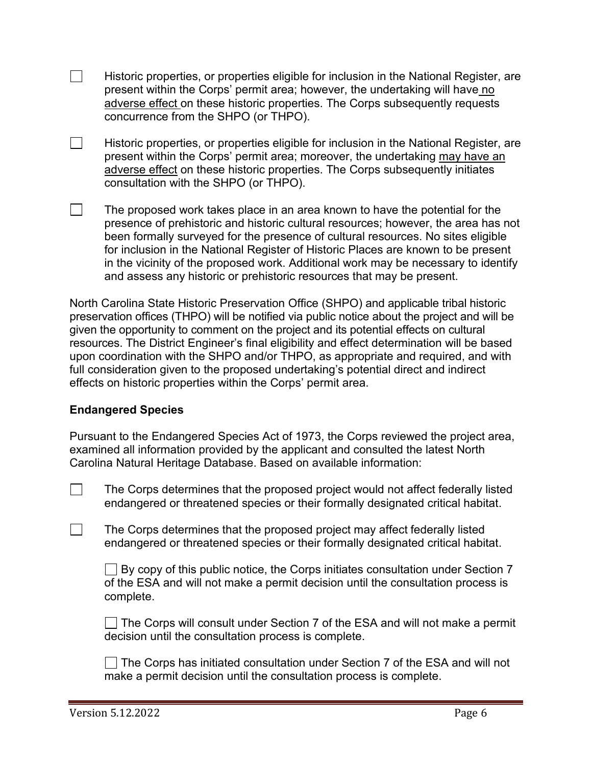- $\Box$ Historic properties, or properties eligible for inclusion in the National Register, are present within the Corps' permit area; however, the undertaking will have no adverse effect on these historic properties. The Corps subsequently requests concurrence from the SHPO (or THPO).
- $\Box$ Historic properties, or properties eligible for inclusion in the National Register, are present within the Corps' permit area; moreover, the undertaking may have an adverse effect on these historic properties. The Corps subsequently initiates consultation with the SHPO (or THPO).
- $\Box$ The proposed work takes place in an area known to have the potential for the presence of prehistoric and historic cultural resources; however, the area has not been formally surveyed for the presence of cultural resources. No sites eligible for inclusion in the National Register of Historic Places are known to be present in the vicinity of the proposed work. Additional work may be necessary to identify and assess any historic or prehistoric resources that may be present.

North Carolina State Historic Preservation Office (SHPO) and applicable tribal historic preservation offices (THPO) will be notified via public notice about the project and will be given the opportunity to comment on the project and its potential effects on cultural resources. The District Engineer's final eligibility and effect determination will be based upon coordination with the SHPO and/or THPO, as appropriate and required, and with full consideration given to the proposed undertaking's potential direct and indirect effects on historic properties within the Corps' permit area.

#### **Endangered Species**

 $\Box$ 

 $\Box$ 

Pursuant to the Endangered Species Act of 1973, the Corps reviewed the project area, examined all information provided by the applicant and consulted the latest North Carolina Natural Heritage Database. Based on available information:

The Corps determines that the proposed project would not affect federally listed endangered or threatened species or their formally designated critical habitat.

The Corps determines that the proposed project may affect federally listed endangered or threatened species or their formally designated critical habitat.

 $\Box$  By copy of this public notice, the Corps initiates consultation under Section 7 of the ESA and will not make a permit decision until the consultation process is complete.

 $\Box$  The Corps will consult under Section 7 of the ESA and will not make a permit decision until the consultation process is complete.

The Corps has initiated consultation under Section 7 of the ESA and will not make a permit decision until the consultation process is complete.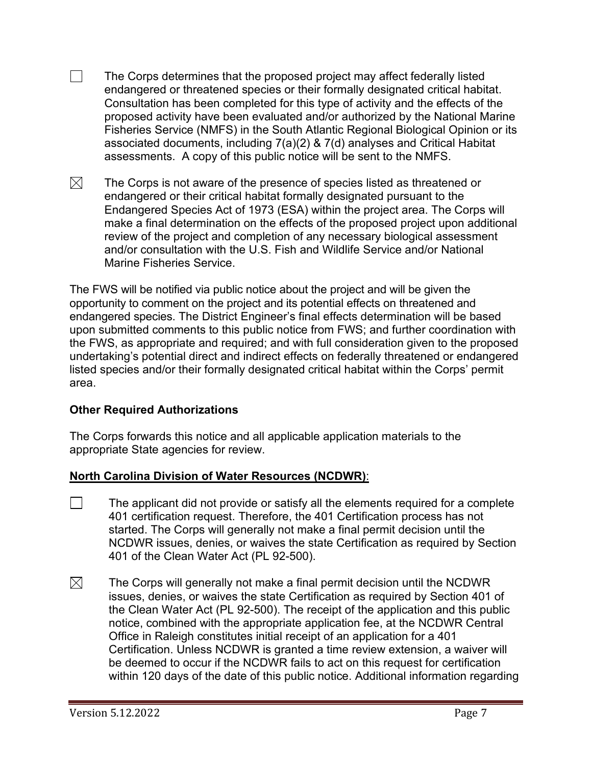$\Box$ The Corps determines that the proposed project may affect federally listed endangered or threatened species or their formally designated critical habitat. Consultation has been completed for this type of activity and the effects of the proposed activity have been evaluated and/or authorized by the National Marine Fisheries Service (NMFS) in the South Atlantic Regional Biological Opinion or its associated documents, including 7(a)(2) & 7(d) analyses and Critical Habitat assessments. A copy of this public notice will be sent to the NMFS.

 $\boxtimes$ The Corps is not aware of the presence of species listed as threatened or endangered or their critical habitat formally designated pursuant to the Endangered Species Act of 1973 (ESA) within the project area. The Corps will make a final determination on the effects of the proposed project upon additional review of the project and completion of any necessary biological assessment and/or consultation with the U.S. Fish and Wildlife Service and/or National Marine Fisheries Service.

The FWS will be notified via public notice about the project and will be given the opportunity to comment on the project and its potential effects on threatened and endangered species. The District Engineer's final effects determination will be based upon submitted comments to this public notice from FWS; and further coordination with the FWS, as appropriate and required; and with full consideration given to the proposed undertaking's potential direct and indirect effects on federally threatened or endangered listed species and/or their formally designated critical habitat within the Corps' permit area.

## **Other Required Authorizations**

The Corps forwards this notice and all applicable application materials to the appropriate State agencies for review.

## **North Carolina Division of Water Resources (NCDWR)**:

- $\Box$  The applicant did not provide or satisfy all the elements required for a complete 401 certification request. Therefore, the 401 Certification process has not started. The Corps will generally not make a final permit decision until the NCDWR issues, denies, or waives the state Certification as required by Section 401 of the Clean Water Act (PL 92-500).
- $\boxtimes$  The Corps will generally not make a final permit decision until the NCDWR issues, denies, or waives the state Certification as required by Section 401 of the Clean Water Act (PL 92-500). The receipt of the application and this public notice, combined with the appropriate application fee, at the NCDWR Central Office in Raleigh constitutes initial receipt of an application for a 401 Certification. Unless NCDWR is granted a time review extension, a waiver will be deemed to occur if the NCDWR fails to act on this request for certification within 120 days of the date of this public notice. Additional information regarding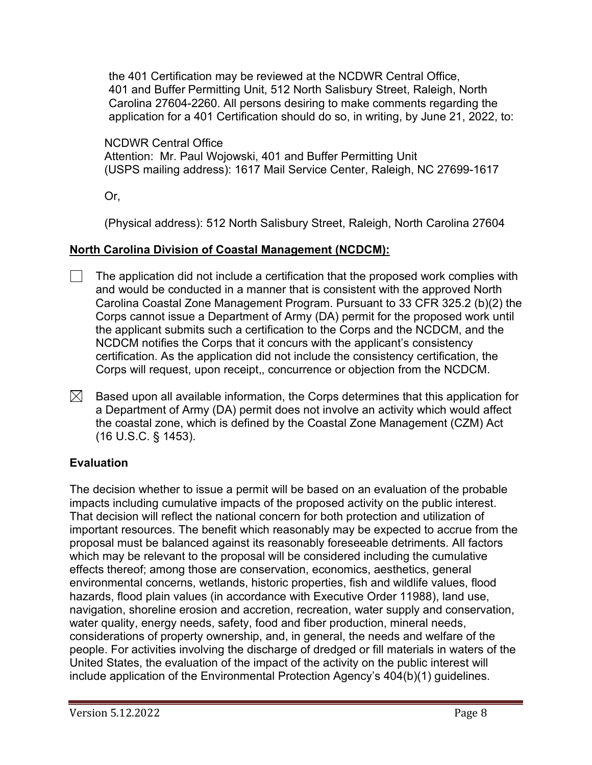the 401 Certification may be reviewed at the NCDWR Central Office, 401 and Buffer Permitting Unit, 512 North Salisbury Street, Raleigh, North Carolina 27604-2260. All persons desiring to make comments regarding the application for a 401 Certification should do so, in writing, by June 21, 2022, to:

#### NCDWR Central Office

Attention: Mr. Paul Wojowski, 401 and Buffer Permitting Unit (USPS mailing address): 1617 Mail Service Center, Raleigh, NC 27699-1617

Or,

(Physical address): 512 North Salisbury Street, Raleigh, North Carolina 27604

## **North Carolina Division of Coastal Management (NCDCM):**

- $\mathbb{R}$ The application did not include a certification that the proposed work complies with and would be conducted in a manner that is consistent with the approved North Carolina Coastal Zone Management Program. Pursuant to 33 CFR 325.2 (b)(2) the Corps cannot issue a Department of Army (DA) permit for the proposed work until the applicant submits such a certification to the Corps and the NCDCM, and the NCDCM notifies the Corps that it concurs with the applicant's consistency certification. As the application did not include the consistency certification, the Corps will request, upon receipt,, concurrence or objection from the NCDCM.
- $\boxtimes$  Based upon all available information, the Corps determines that this application for a Department of Army (DA) permit does not involve an activity which would affect the coastal zone, which is defined by the Coastal Zone Management (CZM) Act (16 U.S.C. § 1453).

# **Evaluation**

The decision whether to issue a permit will be based on an evaluation of the probable impacts including cumulative impacts of the proposed activity on the public interest. That decision will reflect the national concern for both protection and utilization of important resources. The benefit which reasonably may be expected to accrue from the proposal must be balanced against its reasonably foreseeable detriments. All factors which may be relevant to the proposal will be considered including the cumulative effects thereof; among those are conservation, economics, aesthetics, general environmental concerns, wetlands, historic properties, fish and wildlife values, flood hazards, flood plain values (in accordance with Executive Order 11988), land use, navigation, shoreline erosion and accretion, recreation, water supply and conservation, water quality, energy needs, safety, food and fiber production, mineral needs, considerations of property ownership, and, in general, the needs and welfare of the people. For activities involving the discharge of dredged or fill materials in waters of the United States, the evaluation of the impact of the activity on the public interest will include application of the Environmental Protection Agency's 404(b)(1) guidelines.